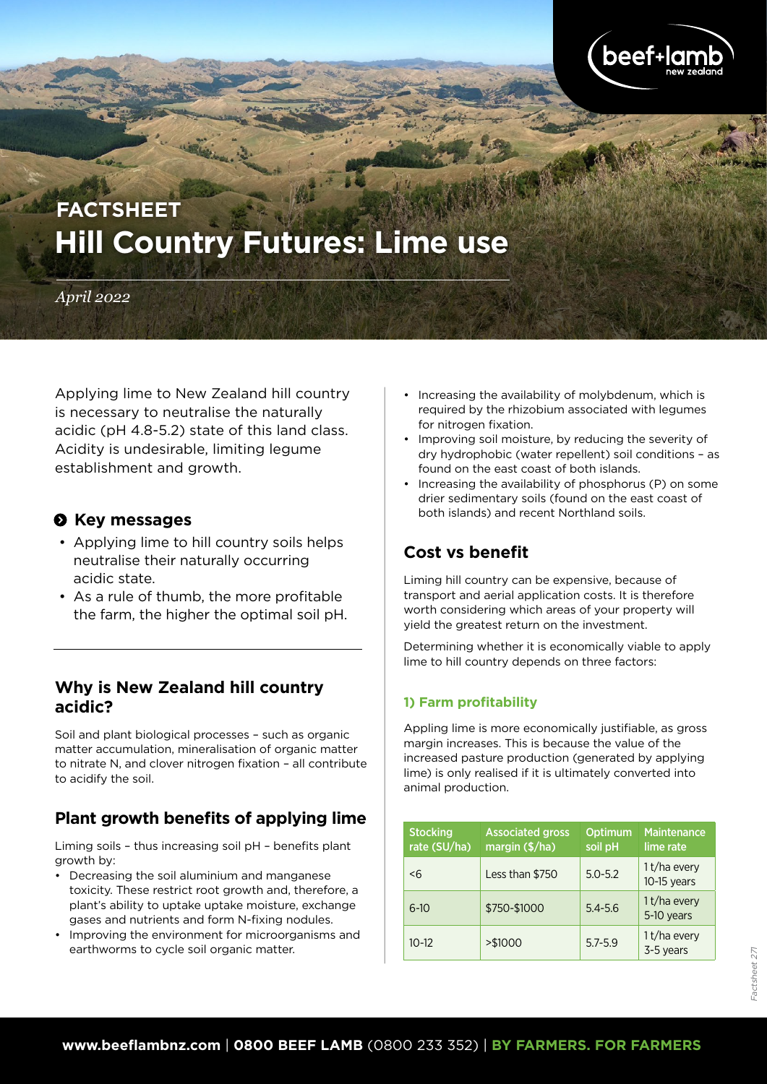

# **Hill Country Futures: Lime use FACTSHEET**

#### *April 2022*

Applying lime to New Zealand hill country is necessary to neutralise the naturally acidic (pH 4.8-5.2) state of this land class. Acidity is undesirable, limiting legume establishment and growth.

#### $\odot$  Key messages

- Applying lime to hill country soils helps neutralise their naturally occurring acidic state.
- As a rule of thumb, the more profitable the farm, the higher the optimal soil pH.

### **Why is New Zealand hill country acidic?**

Soil and plant biological processes – such as organic matter accumulation, mineralisation of organic matter to nitrate N, and clover nitrogen fixation – all contribute to acidify the soil.

## **Plant growth benefits of applying lime**

Liming soils – thus increasing soil pH – benefits plant growth by:

- Decreasing the soil aluminium and manganese toxicity. These restrict root growth and, therefore, a plant's ability to uptake uptake moisture, exchange gases and nutrients and form N-fixing nodules.
- Improving the environment for microorganisms and earthworms to cycle soil organic matter.
- Increasing the availability of molybdenum, which is required by the rhizobium associated with legumes for nitrogen fixation.
- Improving soil moisture, by reducing the severity of dry hydrophobic (water repellent) soil conditions – as found on the east coast of both islands.
- Increasing the availability of phosphorus (P) on some drier sedimentary soils (found on the east coast of both islands) and recent Northland soils.

## **Cost vs benefit**

Liming hill country can be expensive, because of transport and aerial application costs. It is therefore worth considering which areas of your property will yield the greatest return on the investment.

Determining whether it is economically viable to apply lime to hill country depends on three factors:

#### **1) Farm profitability**

Appling lime is more economically justifiable, as gross margin increases. This is because the value of the increased pasture production (generated by applying lime) is only realised if it is ultimately converted into animal production.

| <b>Stocking</b><br>rate (SU/ha) | <b>Associated gross</b><br>margin (\$/ha) | <b>Optimum</b><br>soil pH | <b>Maintenance</b><br>lime rate |
|---------------------------------|-------------------------------------------|---------------------------|---------------------------------|
| -6                              | Less than \$750                           | $5.0 - 5.2$               | 1t/ha every<br>$10-15$ years    |
| $6-10$                          | \$750-\$1000                              | $5.4 - 5.6$               | 1t/ha every<br>5-10 years       |
| $10 - 12$                       | > \$1000                                  | $5.7 - 5.9$               | 1t/ha every<br>3-5 years        |